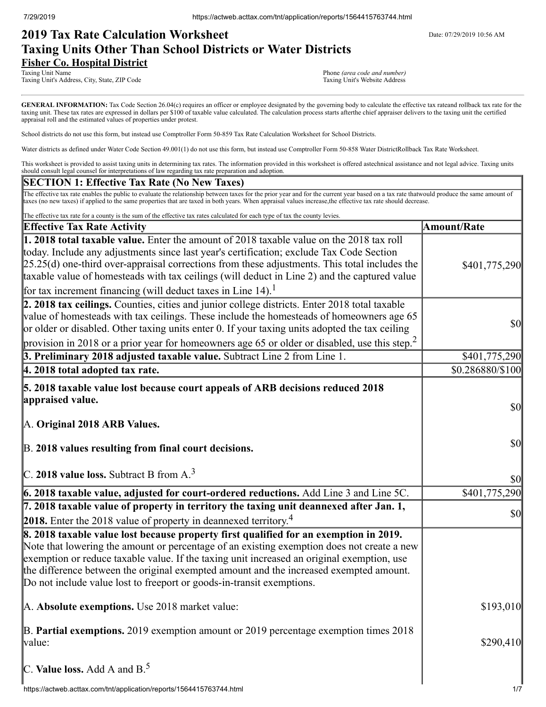# **2019 Tax Rate Calculation Worksheet** Determines the Date: 07/29/2019 10:56 AM **Taxing Units Other Than School Districts or Water Districts Fisher Co. Hospital District**

Taxing Unit Name Phone *(area code and number)*<br>Taxing Unit's Address, City, State, ZIP Code Phone *(area code and number)*<br>Taxing Unit's Website Address Taxing Unit's Address, City, State, ZIP Code

GENERAL INFORMATION: Tax Code Section 26.04(c) requires an officer or employee designated by the governing body to calculate the effective tax rateand rollback tax rate for the taxing unit. These tax rates are expressed in dollars per \$100 of taxable value calculated. The calculation process starts afterthe chief appraiser delivers to the taxing unit the certified appraisal roll and the estimated values of properties under protest.

School districts do not use this form, but instead use Comptroller Form 50-859 Tax Rate Calculation Worksheet for School Districts.

Water districts as defined under Water Code Section 49.001(1) do not use this form, but instead use Comptroller Form 50-858 Water DistrictRollback Tax Rate Worksheet.

This worksheet is provided to assist taxing units in determining tax rates. The information provided in this worksheet is offered astechnical assistance and not legal advice. Taxing units should consult legal counsel for interpretations of law regarding tax rate preparation and adoption.

### **SECTION 1: Effective Tax Rate (No New Taxes)**

The effective tax rate enables the public to evaluate the relationship between taxes for the prior year and for the current year based on a tax rate thatwould produce the same amount of taxes (no new taxes) if applied to the same properties that are taxed in both years. When appraisal values increase,the effective tax rate should decrease.

| The effective tax rate for a county is the sum of the effective tax rates calculated for each type of tax the county levies.                                                                                                                                                                                                                                                                                                                                         |                                                                            |
|----------------------------------------------------------------------------------------------------------------------------------------------------------------------------------------------------------------------------------------------------------------------------------------------------------------------------------------------------------------------------------------------------------------------------------------------------------------------|----------------------------------------------------------------------------|
| <b>Effective Tax Rate Activity</b>                                                                                                                                                                                                                                                                                                                                                                                                                                   | <b>Amount/Rate</b>                                                         |
| 1. 2018 total taxable value. Enter the amount of 2018 taxable value on the 2018 tax roll<br>today. Include any adjustments since last year's certification; exclude Tax Code Section<br>$[25.25(d)$ one-third over-appraisal corrections from these adjustments. This total includes the<br>taxable value of homesteads with tax ceilings (will deduct in Line 2) and the captured value<br>for tax increment financing (will deduct taxes in Line 14). <sup>1</sup> | \$401,775,290                                                              |
| 2. 2018 tax ceilings. Counties, cities and junior college districts. Enter 2018 total taxable<br>value of homesteads with tax ceilings. These include the homesteads of homeowners age 65<br>or older or disabled. Other taxing units enter 0. If your taxing units adopted the tax ceiling<br>provision in 2018 or a prior year for homeowners age 65 or older or disabled, use this step. <sup>2</sup>                                                             | $\frac{1}{2}$                                                              |
| 3. Preliminary 2018 adjusted taxable value. Subtract Line 2 from Line 1.                                                                                                                                                                                                                                                                                                                                                                                             | \$401,775,290                                                              |
| 4. 2018 total adopted tax rate.                                                                                                                                                                                                                                                                                                                                                                                                                                      | \$0.286880/\$100                                                           |
| 5. 2018 taxable value lost because court appeals of ARB decisions reduced 2018<br>appraised value.<br>A. Original 2018 ARB Values.<br>B. 2018 values resulting from final court decisions.                                                                                                                                                                                                                                                                           | $\vert \mathbf{S} \mathbf{O} \vert$<br>$\vert \mathbf{S} \mathbf{0} \vert$ |
| C. 2018 value loss. Subtract B from $A3$                                                                                                                                                                                                                                                                                                                                                                                                                             | $\vert \mathbf{S} \mathbf{O} \vert$                                        |
| 6. 2018 taxable value, adjusted for court-ordered reductions. Add Line 3 and Line 5C.                                                                                                                                                                                                                                                                                                                                                                                | \$401,775,290                                                              |
| 7. 2018 taxable value of property in territory the taxing unit deannexed after Jan. 1,<br>2018. Enter the 2018 value of property in deannexed territory. <sup>4</sup>                                                                                                                                                                                                                                                                                                | $\vert \mathbf{S} \mathbf{O} \vert$                                        |
| 8. 2018 taxable value lost because property first qualified for an exemption in 2019.<br>Note that lowering the amount or percentage of an existing exemption does not create a new<br>exemption or reduce taxable value. If the taxing unit increased an original exemption, use<br>the difference between the original exempted amount and the increased exempted amount.<br>Do not include value lost to freeport or goods-in-transit exemptions.                 |                                                                            |
| A. Absolute exemptions. Use 2018 market value:                                                                                                                                                                                                                                                                                                                                                                                                                       | \$193,010                                                                  |
| B. Partial exemptions. 2019 exemption amount or 2019 percentage exemption times 2018<br>value:                                                                                                                                                                                                                                                                                                                                                                       | \$290,410                                                                  |
| C. Value loss. Add A and $B^5$ .                                                                                                                                                                                                                                                                                                                                                                                                                                     |                                                                            |
| https://actweb.acttax.com/tnt/application/reports/1564415763744.html                                                                                                                                                                                                                                                                                                                                                                                                 | 1/7                                                                        |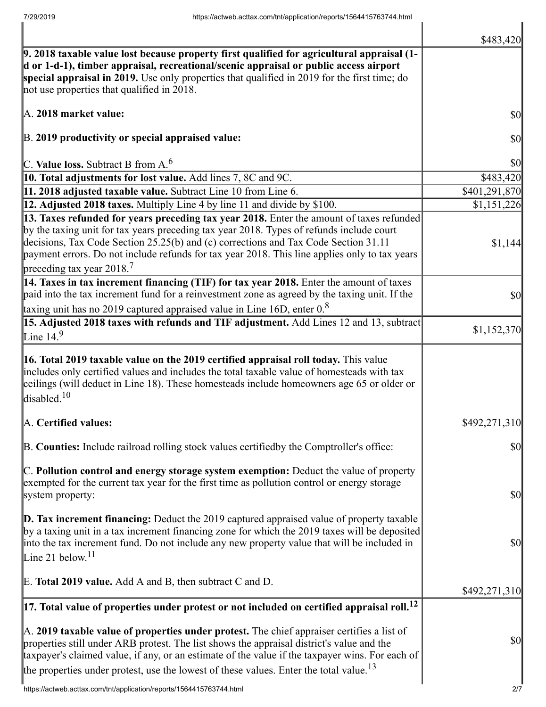|                                                                                                                                                                                                                                                                                                                                                                                                               | \$483,420                           |
|---------------------------------------------------------------------------------------------------------------------------------------------------------------------------------------------------------------------------------------------------------------------------------------------------------------------------------------------------------------------------------------------------------------|-------------------------------------|
| 9. 2018 taxable value lost because property first qualified for agricultural appraisal (1-<br>d or 1-d-1), timber appraisal, recreational/scenic appraisal or public access airport<br>special appraisal in 2019. Use only properties that qualified in 2019 for the first time; do<br>not use properties that qualified in 2018.                                                                             |                                     |
| A. 2018 market value:                                                                                                                                                                                                                                                                                                                                                                                         | \$0                                 |
| B. 2019 productivity or special appraised value:                                                                                                                                                                                                                                                                                                                                                              | \$0                                 |
| C. Value loss. Subtract B from A. <sup>6</sup>                                                                                                                                                                                                                                                                                                                                                                | \$0                                 |
| 10. Total adjustments for lost value. Add lines 7, 8C and 9C.                                                                                                                                                                                                                                                                                                                                                 | \$483,420                           |
| 11. 2018 adjusted taxable value. Subtract Line 10 from Line 6.                                                                                                                                                                                                                                                                                                                                                | \$401,291,870                       |
| 12. Adjusted 2018 taxes. Multiply Line 4 by line 11 and divide by \$100.                                                                                                                                                                                                                                                                                                                                      | \$1,151,226                         |
| 13. Taxes refunded for years preceding tax year 2018. Enter the amount of taxes refunded<br>by the taxing unit for tax years preceding tax year 2018. Types of refunds include court<br>decisions, Tax Code Section 25.25(b) and (c) corrections and Tax Code Section 31.11<br>payment errors. Do not include refunds for tax year 2018. This line applies only to tax years<br>preceding tax year 2018. $^7$ | \$1,144                             |
| 14. Taxes in tax increment financing (TIF) for tax year 2018. Enter the amount of taxes<br>paid into the tax increment fund for a reinvestment zone as agreed by the taxing unit. If the<br>taxing unit has no 2019 captured appraised value in Line 16D, enter $0.8$                                                                                                                                         | \$0                                 |
| 15. Adjusted 2018 taxes with refunds and TIF adjustment. Add Lines 12 and 13, subtract                                                                                                                                                                                                                                                                                                                        |                                     |
| Line 14. $9$                                                                                                                                                                                                                                                                                                                                                                                                  | \$1,152,370                         |
| 16. Total 2019 taxable value on the 2019 certified appraisal roll today. This value<br>includes only certified values and includes the total taxable value of homesteads with tax<br>ceilings (will deduct in Line 18). These homesteads include homeowners age 65 or older or<br>disabled. $10$                                                                                                              |                                     |
| A. Certified values:                                                                                                                                                                                                                                                                                                                                                                                          | \$492,271,310                       |
| B. Counties: Include railroad rolling stock values certifiedby the Comptroller's office:                                                                                                                                                                                                                                                                                                                      | \$0                                 |
| C. Pollution control and energy storage system exemption: Deduct the value of property<br>exempted for the current tax year for the first time as pollution control or energy storage<br>system property:                                                                                                                                                                                                     | $\vert \mathbf{S} \mathbf{O} \vert$ |
| $\mathbf{D}$ . Tax increment financing: Deduct the 2019 captured appraised value of property taxable<br>by a taxing unit in a tax increment financing zone for which the 2019 taxes will be deposited<br>into the tax increment fund. Do not include any new property value that will be included in<br>Line 21 below. <sup>11</sup>                                                                          | $\vert \mathbf{S} \mathbf{O} \vert$ |
| E. Total 2019 value. Add A and B, then subtract C and D.                                                                                                                                                                                                                                                                                                                                                      | \$492,271,310                       |
| $\left 17.\right.$ Total value of properties under protest or not included on certified appraisal roll. $^{12}$                                                                                                                                                                                                                                                                                               |                                     |
| A. 2019 taxable value of properties under protest. The chief appraiser certifies a list of<br>properties still under ARB protest. The list shows the appraisal district's value and the<br>taxpayer's claimed value, if any, or an estimate of the value if the taxpayer wins. For each of<br>the properties under protest, use the lowest of these values. Enter the total value. <sup>13</sup>              | \$0                                 |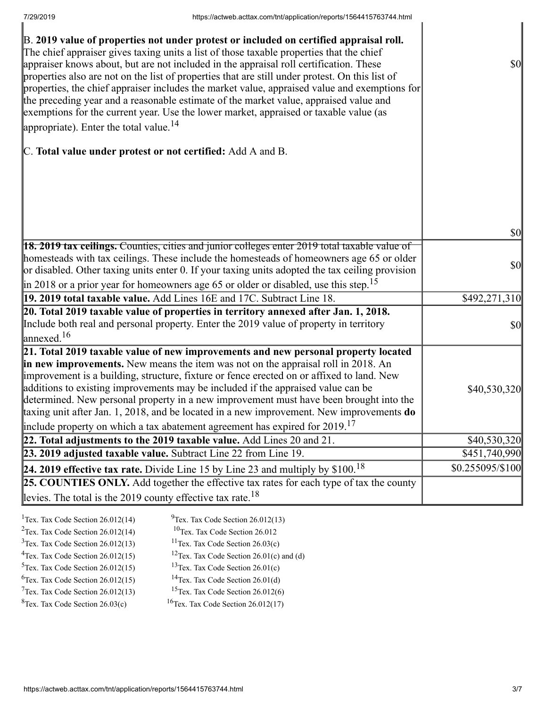| B. 2019 value of properties not under protest or included on certified appraisal roll.<br>The chief appraiser gives taxing units a list of those taxable properties that the chief<br>appraiser knows about, but are not included in the appraisal roll certification. These<br>properties also are not on the list of properties that are still under protest. On this list of<br>properties, the chief appraiser includes the market value, appraised value and exemptions for<br>the preceding year and a reasonable estimate of the market value, appraised value and<br>exemptions for the current year. Use the lower market, appraised or taxable value (as<br>appropriate). Enter the total value. $^{14}$ | \$0                       |
|--------------------------------------------------------------------------------------------------------------------------------------------------------------------------------------------------------------------------------------------------------------------------------------------------------------------------------------------------------------------------------------------------------------------------------------------------------------------------------------------------------------------------------------------------------------------------------------------------------------------------------------------------------------------------------------------------------------------|---------------------------|
| C. Total value under protest or not certified: Add A and B.                                                                                                                                                                                                                                                                                                                                                                                                                                                                                                                                                                                                                                                        |                           |
|                                                                                                                                                                                                                                                                                                                                                                                                                                                                                                                                                                                                                                                                                                                    | \$0                       |
|                                                                                                                                                                                                                                                                                                                                                                                                                                                                                                                                                                                                                                                                                                                    |                           |
| <b>18. 2019 tax ceilings.</b> Counties, cities and junior colleges enter 2019 total taxable value of<br>homesteads with tax ceilings. These include the homesteads of homeowners age 65 or older<br>or disabled. Other taxing units enter 0. If your taxing units adopted the tax ceiling provision<br>$\parallel$ in 2018 or a prior year for homeowners age 65 or older or disabled, use this step. <sup>15</sup>                                                                                                                                                                                                                                                                                                | \$0                       |
| 19. 2019 total taxable value. Add Lines 16E and 17C. Subtract Line 18.                                                                                                                                                                                                                                                                                                                                                                                                                                                                                                                                                                                                                                             | $\overline{$}492,271,310$ |
| 20. Total 2019 taxable value of properties in territory annexed after Jan. 1, 2018.<br>Include both real and personal property. Enter the 2019 value of property in territory<br>$\lvert$ annexed. <sup>16</sup>                                                                                                                                                                                                                                                                                                                                                                                                                                                                                                   | \$0                       |
| 21. Total 2019 taxable value of new improvements and new personal property located<br>in new improvements. New means the item was not on the appraisal roll in 2018. An<br>improvement is a building, structure, fixture or fence erected on or affixed to land. New<br>additions to existing improvements may be included if the appraised value can be<br>determined. New personal property in a new improvement must have been brought into the<br>taxing unit after Jan. 1, 2018, and be located in a new improvement. New improvements do<br>include property on which a tax abatement agreement has expired for $2019$ . <sup>17</sup>                                                                       | \$40,530,320              |
| 22. Total adjustments to the 2019 taxable value. Add Lines 20 and 21.                                                                                                                                                                                                                                                                                                                                                                                                                                                                                                                                                                                                                                              | \$40,530,320              |
| 23. 2019 adjusted taxable value. Subtract Line 22 from Line 19.                                                                                                                                                                                                                                                                                                                                                                                                                                                                                                                                                                                                                                                    | \$451,740,990             |
| 24. 2019 effective tax rate. Divide Line 15 by Line 23 and multiply by $$100.18$                                                                                                                                                                                                                                                                                                                                                                                                                                                                                                                                                                                                                                   | \$0.255095/\$100          |
| 25. COUNTIES ONLY. Add together the effective tax rates for each type of tax the county                                                                                                                                                                                                                                                                                                                                                                                                                                                                                                                                                                                                                            |                           |
| levies. The total is the 2019 county effective tax rate. <sup>18</sup>                                                                                                                                                                                                                                                                                                                                                                                                                                                                                                                                                                                                                                             |                           |
|                                                                                                                                                                                                                                                                                                                                                                                                                                                                                                                                                                                                                                                                                                                    |                           |

| <sup>1</sup> Tex. Tax Code Section $26.012(14)$ | $^{9}$ Tex. Tax Code Section 26.012(13)              |
|-------------------------------------------------|------------------------------------------------------|
| <sup>2</sup> Tex. Tax Code Section $26.012(14)$ | <sup>10</sup> Tex. Tax Code Section 26.012           |
| $3$ Tex. Tax Code Section 26.012(13)            | <sup>11</sup> Tex. Tax Code Section $26.03(c)$       |
| $4$ Tex. Tax Code Section 26.012(15)            | <sup>12</sup> Tex. Tax Code Section 26.01(c) and (d) |
| $5$ Tex. Tax Code Section 26.012(15)            | <sup>13</sup> Tex. Tax Code Section $26.01(c)$       |
| ${}^{6}$ Tex. Tax Code Section 26.012(15)       | <sup>14</sup> Tex. Tax Code Section $26.01(d)$       |
| $7$ Tex. Tax Code Section 26.012(13)            | <sup>15</sup> Tex. Tax Code Section $26.012(6)$      |
| ${}^{8}$ Tex. Tax Code Section 26.03(c)         | <sup>16</sup> Tex. Tax Code Section $26.012(17)$     |
|                                                 |                                                      |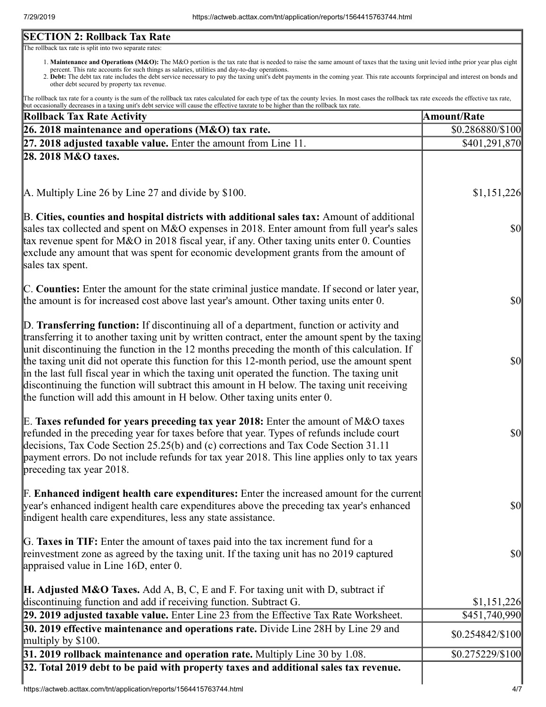## **SECTION 2: Rollback Tax Rate**

The rollback tax rate is split into two separate rates:

- 1. Maintenance and Operations (M&O): The M&O portion is the tax rate that is needed to raise the same amount of taxes that the taxing unit levied inthe prior year plus eight percent. This rate accounts for such things as salaries, utilities and day-to-day operations.
- 2. Debt: The debt tax rate includes the debt service necessary to pay the taxing unit's debt payments in the coming year. This rate accounts forprincipal and interest on bonds and other debt secured by property tax revenue.

The rollback tax rate for a county is the sum of the rollback tax rates calculated for each type of tax the county levies. In most cases the rollback tax rate exceeds the effective tax rate, but occasionally decreases in a taxing unit's debt service will cause the effective taxrate to be higher than the rollback tax rate.

| <b>Rollback Tax Rate Activity</b>                                                                                                                                                                                                                                                                                                                                                                                                                                                                                                                                                                                                                                       | <b>Amount/Rate</b>                  |
|-------------------------------------------------------------------------------------------------------------------------------------------------------------------------------------------------------------------------------------------------------------------------------------------------------------------------------------------------------------------------------------------------------------------------------------------------------------------------------------------------------------------------------------------------------------------------------------------------------------------------------------------------------------------------|-------------------------------------|
| 26. 2018 maintenance and operations (M&O) tax rate.                                                                                                                                                                                                                                                                                                                                                                                                                                                                                                                                                                                                                     | \$0.286880/\$100                    |
| $\left 27, 2018\right $ adjusted taxable value. Enter the amount from Line 11.                                                                                                                                                                                                                                                                                                                                                                                                                                                                                                                                                                                          | \$401,291,870                       |
| 28. 2018 M&O taxes.                                                                                                                                                                                                                                                                                                                                                                                                                                                                                                                                                                                                                                                     |                                     |
|                                                                                                                                                                                                                                                                                                                                                                                                                                                                                                                                                                                                                                                                         |                                     |
| $\vert$ A. Multiply Line 26 by Line 27 and divide by \$100.                                                                                                                                                                                                                                                                                                                                                                                                                                                                                                                                                                                                             | \$1,151,226                         |
| B. Cities, counties and hospital districts with additional sales tax: Amount of additional<br>sales tax collected and spent on M&O expenses in 2018. Enter amount from full year's sales<br>tax revenue spent for M&O in 2018 fiscal year, if any. Other taxing units enter 0. Counties<br>exclude any amount that was spent for economic development grants from the amount of<br>sales tax spent.                                                                                                                                                                                                                                                                     | <b>\$0</b>                          |
| C. Counties: Enter the amount for the state criminal justice mandate. If second or later year,<br>the amount is for increased cost above last year's amount. Other taxing units enter 0.                                                                                                                                                                                                                                                                                                                                                                                                                                                                                | <b>\$0</b>                          |
| D. Transferring function: If discontinuing all of a department, function or activity and<br>transferring it to another taxing unit by written contract, enter the amount spent by the taxing<br>unit discontinuing the function in the 12 months preceding the month of this calculation. If<br>the taxing unit did not operate this function for this 12-month period, use the amount spent<br>in the last full fiscal year in which the taxing unit operated the function. The taxing unit<br>discontinuing the function will subtract this amount in H below. The taxing unit receiving<br>the function will add this amount in H below. Other taxing units enter 0. | $\vert \mathbf{S} \mathbf{0} \vert$ |
| E. Taxes refunded for years preceding tax year 2018: Enter the amount of M&O taxes<br>refunded in the preceding year for taxes before that year. Types of refunds include court<br>decisions, Tax Code Section 25.25(b) and (c) corrections and Tax Code Section 31.11<br>payment errors. Do not include refunds for tax year 2018. This line applies only to tax years<br>preceding tax year 2018.                                                                                                                                                                                                                                                                     | $\vert \mathbf{S} \mathbf{0} \vert$ |
| <b>F. Enhanced indigent health care expenditures:</b> Enter the increased amount for the current<br>year's enhanced indigent health care expenditures above the preceding tax year's enhanced<br>indigent health care expenditures, less any state assistance.                                                                                                                                                                                                                                                                                                                                                                                                          | $\sqrt{50}$                         |
| G. Taxes in TIF: Enter the amount of taxes paid into the tax increment fund for a<br>reinvestment zone as agreed by the taxing unit. If the taxing unit has no 2019 captured<br>appraised value in Line 16D, enter 0.                                                                                                                                                                                                                                                                                                                                                                                                                                                   | <b>\$0</b>                          |
| H. Adjusted M&O Taxes. Add A, B, C, E and F. For taxing unit with D, subtract if<br>discontinuing function and add if receiving function. Subtract G.                                                                                                                                                                                                                                                                                                                                                                                                                                                                                                                   | \$1,151,226                         |
| 29. 2019 adjusted taxable value. Enter Line 23 from the Effective Tax Rate Worksheet.                                                                                                                                                                                                                                                                                                                                                                                                                                                                                                                                                                                   | \$451,740,990                       |
| 30. 2019 effective maintenance and operations rate. Divide Line 28H by Line 29 and<br>multiply by $$100$ .                                                                                                                                                                                                                                                                                                                                                                                                                                                                                                                                                              | $$0.254842\%100$                    |
| 31. 2019 rollback maintenance and operation rate. Multiply Line 30 by 1.08.                                                                                                                                                                                                                                                                                                                                                                                                                                                                                                                                                                                             | \$0.275229/\$100                    |
| 32. Total 2019 debt to be paid with property taxes and additional sales tax revenue.                                                                                                                                                                                                                                                                                                                                                                                                                                                                                                                                                                                    |                                     |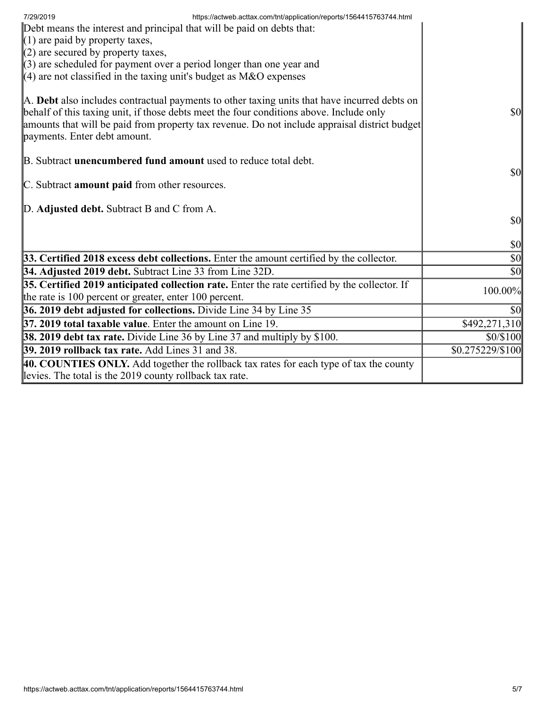| https://actweb.acttax.com/tnt/application/reports/1564415763744.html<br>7/29/2019<br>Debt means the interest and principal that will be paid on debts that:<br>$(1)$ are paid by property taxes,<br>$(2)$ are secured by property taxes,<br>$(3)$ are scheduled for payment over a period longer than one year and<br>$(4)$ are not classified in the taxing unit's budget as M&O expenses |                                     |
|--------------------------------------------------------------------------------------------------------------------------------------------------------------------------------------------------------------------------------------------------------------------------------------------------------------------------------------------------------------------------------------------|-------------------------------------|
| A. Debt also includes contractual payments to other taxing units that have incurred debts on<br>behalf of this taxing unit, if those debts meet the four conditions above. Include only<br>amounts that will be paid from property tax revenue. Do not include appraisal district budget<br>payments. Enter debt amount.                                                                   | <b>\$0</b>                          |
| B. Subtract <b>unencumbered fund amount</b> used to reduce total debt.<br>C. Subtract amount paid from other resources.                                                                                                                                                                                                                                                                    | $\vert \mathbf{S} \mathbf{O} \vert$ |
| D. Adjusted debt. Subtract B and C from A.                                                                                                                                                                                                                                                                                                                                                 | <b>\$0</b>                          |
|                                                                                                                                                                                                                                                                                                                                                                                            | $\vert \mathbf{S} \mathbf{0} \vert$ |
| 33. Certified 2018 excess debt collections. Enter the amount certified by the collector.                                                                                                                                                                                                                                                                                                   | $\vert \$\text{0}\vert$             |
| 34. Adjusted 2019 debt. Subtract Line 33 from Line 32D.                                                                                                                                                                                                                                                                                                                                    | $ 10\rangle$                        |
| 35. Certified 2019 anticipated collection rate. Enter the rate certified by the collector. If<br>the rate is 100 percent or greater, enter 100 percent.                                                                                                                                                                                                                                    | 100.00%                             |
| 36. 2019 debt adjusted for collections. Divide Line 34 by Line 35                                                                                                                                                                                                                                                                                                                          | \$0                                 |
| 37. 2019 total taxable value. Enter the amount on Line 19.                                                                                                                                                                                                                                                                                                                                 | \$492,271,310                       |
| <b>38. 2019 debt tax rate.</b> Divide Line 36 by Line 37 and multiply by \$100.                                                                                                                                                                                                                                                                                                            | \$0/\$100                           |
| <b>39. 2019 rollback tax rate.</b> Add Lines 31 and 38.                                                                                                                                                                                                                                                                                                                                    | \$0.275229/\$100                    |
| 40. COUNTIES ONLY. Add together the rollback tax rates for each type of tax the county<br>levies. The total is the 2019 county rollback tax rate.                                                                                                                                                                                                                                          |                                     |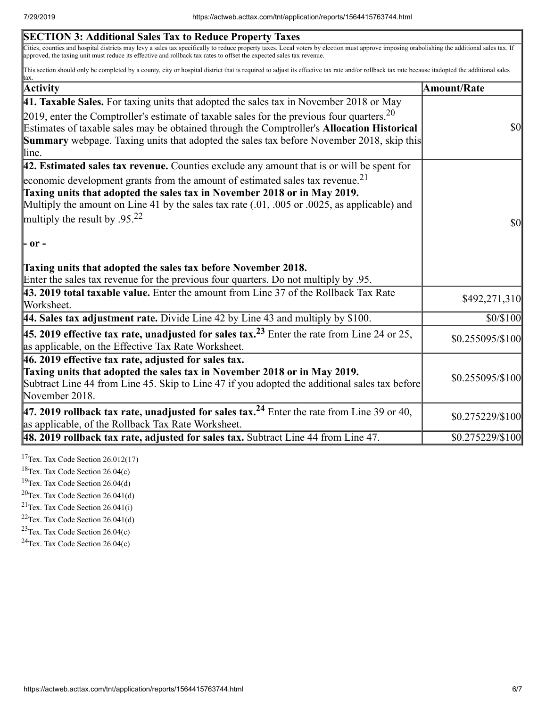| <b>SECTION 3: Additional Sales Tax to Reduce Property Taxes</b>                                                                                                                                                                                                                                                      |                                     |
|----------------------------------------------------------------------------------------------------------------------------------------------------------------------------------------------------------------------------------------------------------------------------------------------------------------------|-------------------------------------|
| Cities, counties and hospital districts may levy a sales tax specifically to reduce property taxes. Local voters by election must approve imposing orabolishing the additional sales tax. If<br>approved, the taxing unit must reduce its effective and rollback tax rates to offset the expected sales tax revenue. |                                     |
| This section should only be completed by a county, city or hospital district that is required to adjust its effective tax rate and/or rollback tax rate because it adopted the additional sales<br>tax.                                                                                                              |                                     |
| Activity                                                                                                                                                                                                                                                                                                             | Amount/Rate                         |
| 41. Taxable Sales. For taxing units that adopted the sales tax in November 2018 or May                                                                                                                                                                                                                               |                                     |
| [2019, enter the Comptroller's estimate of taxable sales for the previous four quarters. <sup>20</sup>                                                                                                                                                                                                               |                                     |
| Estimates of taxable sales may be obtained through the Comptroller's Allocation Historical                                                                                                                                                                                                                           | $\vert \mathbf{S} \mathbf{O} \vert$ |
| <b>Summary</b> webpage. Taxing units that adopted the sales tax before November 2018, skip this                                                                                                                                                                                                                      |                                     |
| line.                                                                                                                                                                                                                                                                                                                |                                     |
| 42. Estimated sales tax revenue. Counties exclude any amount that is or will be spent for                                                                                                                                                                                                                            |                                     |
| economic development grants from the amount of estimated sales tax revenue. <sup>21</sup>                                                                                                                                                                                                                            |                                     |
| Taxing units that adopted the sales tax in November 2018 or in May 2019.                                                                                                                                                                                                                                             |                                     |
| Multiply the amount on Line 41 by the sales tax rate $(.01, .005)$ or $.0025$ , as applicable) and                                                                                                                                                                                                                   |                                     |
| multiply the result by .95. <sup>22</sup>                                                                                                                                                                                                                                                                            | $\sqrt{50}$                         |
| $\mathsf{P}$ or -                                                                                                                                                                                                                                                                                                    |                                     |
| Taxing units that adopted the sales tax before November 2018.<br>Enter the sales tax revenue for the previous four quarters. Do not multiply by .95.                                                                                                                                                                 |                                     |
| 43. 2019 total taxable value. Enter the amount from Line 37 of the Rollback Tax Rate                                                                                                                                                                                                                                 |                                     |
| Worksheet.                                                                                                                                                                                                                                                                                                           | \$492,271,310                       |
| 44. Sales tax adjustment rate. Divide Line 42 by Line 43 and multiply by \$100.                                                                                                                                                                                                                                      | \$0/\$100                           |
| <b>45. 2019 effective tax rate, unadjusted for sales tax.</b> <sup>23</sup> Enter the rate from Line 24 or 25,<br>as applicable, on the Effective Tax Rate Worksheet.                                                                                                                                                | \$0.255095/\$100                    |
| $ 46.2019$ effective tax rate, adjusted for sales tax.                                                                                                                                                                                                                                                               |                                     |
| Taxing units that adopted the sales tax in November 2018 or in May 2019.                                                                                                                                                                                                                                             | \$0.255095/\$100                    |
| Subtract Line 44 from Line 45. Skip to Line 47 if you adopted the additional sales tax before<br>November 2018.                                                                                                                                                                                                      |                                     |
| 47. 2019 rollback tax rate, unadjusted for sales tax. <sup>24</sup> Enter the rate from Line 39 or 40,                                                                                                                                                                                                               | \$0.275229/\$100                    |
| as applicable, of the Rollback Tax Rate Worksheet.                                                                                                                                                                                                                                                                   |                                     |
| $\vert$ 48. 2019 rollback tax rate, adjusted for sales tax. Subtract Line 44 from Line 47.                                                                                                                                                                                                                           | \$0.275229/\$100                    |

<sup>17</sup>Tex. Tax Code Section  $26.012(17)$ 

<sup>18</sup>Tex. Tax Code Section 26.04(c)

<sup>19</sup>Tex. Tax Code Section  $26.04(d)$ 

 $20$ Tex. Tax Code Section 26.041(d)

<sup>21</sup>Tex. Tax Code Section  $26.041(i)$ 

 $22$ Tex. Tax Code Section 26.041(d)

<sup>23</sup>Tex. Tax Code Section  $26.04(c)$ 

 $24$ Tex. Tax Code Section 26.04(c)